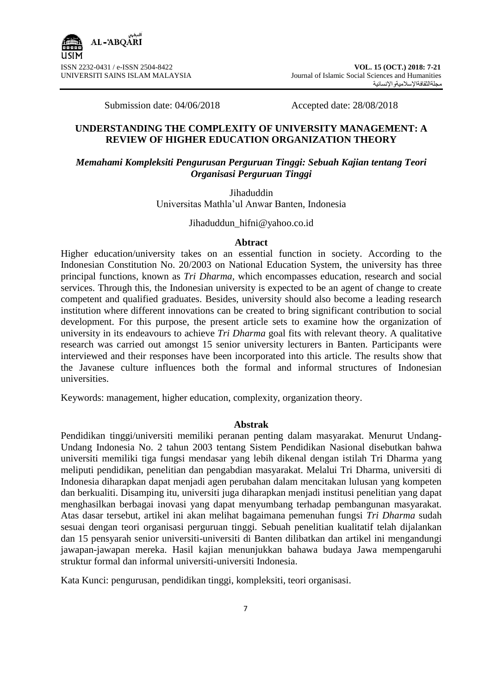Submission date: 04/06/2018 Accepted date: 28/08/2018

# **UNDERSTANDING THE COMPLEXITY OF UNIVERSITY MANAGEMENT: A REVIEW OF HIGHER EDUCATION ORGANIZATION THEORY**

# *Memahami Kompleksiti Pengurusan Perguruan Tinggi: Sebuah Kajian tentang Teori Organisasi Perguruan Tinggi*

Jihaduddin Universitas Mathla"ul Anwar Banten, Indonesia

### Jihaduddun\_hifni@yahoo.co.id

#### **Abtract**

Higher education/university takes on an essential function in society. According to the Indonesian Constitution No. 20/2003 on National Education System, the university has three principal functions, known as *Tri Dharma,* which encompasses education, research and social services. Through this*,* the Indonesian university is expected to be an agent of change to create competent and qualified graduates. Besides, university should also become a leading research institution where different innovations can be created to bring significant contribution to social development. For this purpose, the present article sets to examine how the organization of university in its endeavours to achieve *Tri Dharma* goal fits with relevant theory. A qualitative research was carried out amongst 15 senior university lecturers in Banten. Participants were interviewed and their responses have been incorporated into this article. The results show that the Javanese culture influences both the formal and informal structures of Indonesian universities.

Keywords: management, higher education, complexity, organization theory.

#### **Abstrak**

Pendidikan tinggi/universiti memiliki peranan penting dalam masyarakat. Menurut Undang-Undang Indonesia No. 2 tahun 2003 tentang Sistem Pendidikan Nasional disebutkan bahwa universiti memiliki tiga fungsi mendasar yang lebih dikenal dengan istilah Tri Dharma yang meliputi pendidikan, penelitian dan pengabdian masyarakat. Melalui Tri Dharma, universiti di Indonesia diharapkan dapat menjadi agen perubahan dalam mencitakan lulusan yang kompeten dan berkualiti. Disamping itu, universiti juga diharapkan menjadi institusi penelitian yang dapat menghasilkan berbagai inovasi yang dapat menyumbang terhadap pembangunan masyarakat. Atas dasar tersebut, artikel ini akan melihat bagaimana pemenuhan fungsi *Tri Dharma* sudah sesuai dengan teori organisasi perguruan tinggi. Sebuah penelitian kualitatif telah dijalankan dan 15 pensyarah senior universiti-universiti di Banten dilibatkan dan artikel ini mengandungi jawapan-jawapan mereka. Hasil kajian menunjukkan bahawa budaya Jawa mempengaruhi struktur formal dan informal universiti-universiti Indonesia.

Kata Kunci: pengurusan, pendidikan tinggi, kompleksiti, teori organisasi.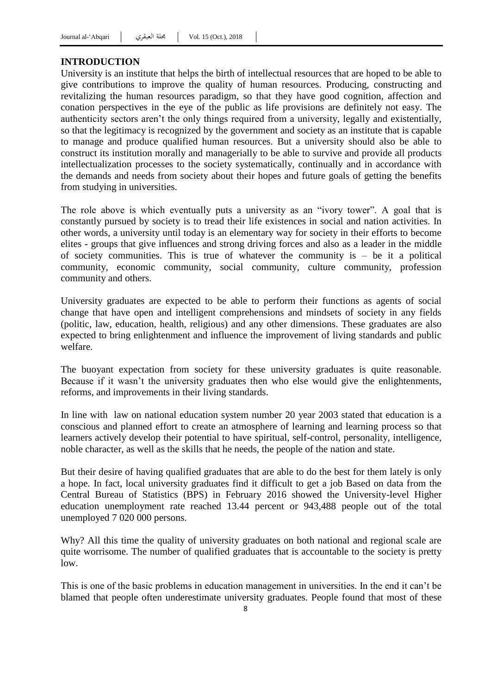### **INTRODUCTION**

University is an institute that helps the birth of intellectual resources that are hoped to be able to give contributions to improve the quality of human resources. Producing, constructing and revitalizing the human resources paradigm, so that they have good cognition, affection and conation perspectives in the eye of the public as life provisions are definitely not easy. The authenticity sectors aren"t the only things required from a university, legally and existentially, so that the legitimacy is recognized by the government and society as an institute that is capable to manage and produce qualified human resources. But a university should also be able to construct its institution morally and managerially to be able to survive and provide all products intellectualization processes to the society systematically, continually and in accordance with the demands and needs from society about their hopes and future goals of getting the benefits from studying in universities.

The role above is which eventually puts a university as an "ivory tower". A goal that is constantly pursued by society is to tread their life existences in social and nation activities. In other words, a university until today is an elementary way for society in their efforts to become elites - groups that give influences and strong driving forces and also as a leader in the middle of society communities. This is true of whatever the community is – be it a political community, economic community, social community, culture community, profession community and others.

University graduates are expected to be able to perform their functions as agents of social change that have open and intelligent comprehensions and mindsets of society in any fields (politic, law, education, health, religious) and any other dimensions. These graduates are also expected to bring enlightenment and influence the improvement of living standards and public welfare.

The buoyant expectation from society for these university graduates is quite reasonable. Because if it wasn't the university graduates then who else would give the enlightenments, reforms, and improvements in their living standards.

In line with law on national education system number 20 year 2003 stated that education is a conscious and planned effort to create an atmosphere of learning and learning process so that learners actively develop their potential to have spiritual, self-control, personality, intelligence, noble character, as well as the skills that he needs, the people of the nation and state.

But their desire of having qualified graduates that are able to do the best for them lately is only a hope. In fact, local university graduates find it difficult to get a job Based on data from the Central Bureau of Statistics (BPS) in February 2016 showed the University-level Higher education unemployment rate reached 13.44 percent or 943,488 people out of the total unemployed 7 020 000 persons.

Why? All this time the quality of university graduates on both national and regional scale are quite worrisome. The number of qualified graduates that is accountable to the society is pretty low.

This is one of the basic problems in education management in universities. In the end it can"t be blamed that people often underestimate university graduates. People found that most of these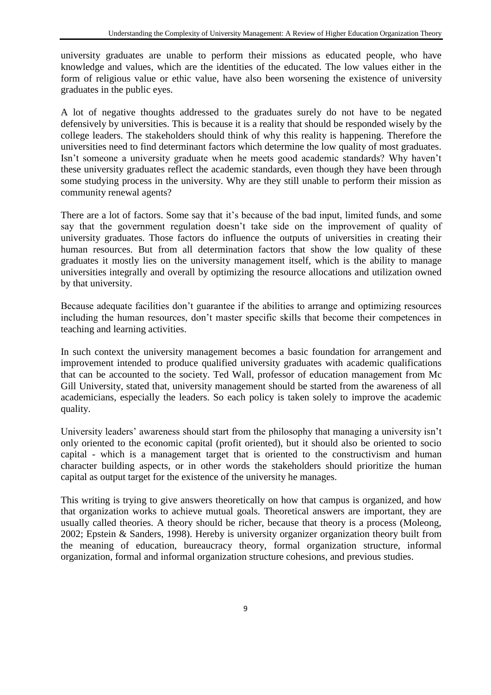university graduates are unable to perform their missions as educated people, who have knowledge and values, which are the identities of the educated. The low values either in the form of religious value or ethic value, have also been worsening the existence of university graduates in the public eyes.

A lot of negative thoughts addressed to the graduates surely do not have to be negated defensively by universities. This is because it is a reality that should be responded wisely by the college leaders. The stakeholders should think of why this reality is happening. Therefore the universities need to find determinant factors which determine the low quality of most graduates. Isn"t someone a university graduate when he meets good academic standards? Why haven"t these university graduates reflect the academic standards, even though they have been through some studying process in the university. Why are they still unable to perform their mission as community renewal agents?

There are a lot of factors. Some say that it's because of the bad input, limited funds, and some say that the government regulation doesn"t take side on the improvement of quality of university graduates. Those factors do influence the outputs of universities in creating their human resources. But from all determination factors that show the low quality of these graduates it mostly lies on the university management itself, which is the ability to manage universities integrally and overall by optimizing the resource allocations and utilization owned by that university.

Because adequate facilities don"t guarantee if the abilities to arrange and optimizing resources including the human resources, don"t master specific skills that become their competences in teaching and learning activities.

In such context the university management becomes a basic foundation for arrangement and improvement intended to produce qualified university graduates with academic qualifications that can be accounted to the society. Ted Wall, professor of education management from Mc Gill University, stated that, university management should be started from the awareness of all academicians, especially the leaders. So each policy is taken solely to improve the academic quality.

University leaders" awareness should start from the philosophy that managing a university isn"t only oriented to the economic capital (profit oriented), but it should also be oriented to socio capital - which is a management target that is oriented to the constructivism and human character building aspects, or in other words the stakeholders should prioritize the human capital as output target for the existence of the university he manages.

This writing is trying to give answers theoretically on how that campus is organized, and how that organization works to achieve mutual goals. Theoretical answers are important, they are usually called theories. A theory should be richer, because that theory is a process (Moleong, 2002; Epstein & Sanders, 1998). Hereby is university organizer organization theory built from the meaning of education, bureaucracy theory, formal organization structure, informal organization, formal and informal organization structure cohesions, and previous studies.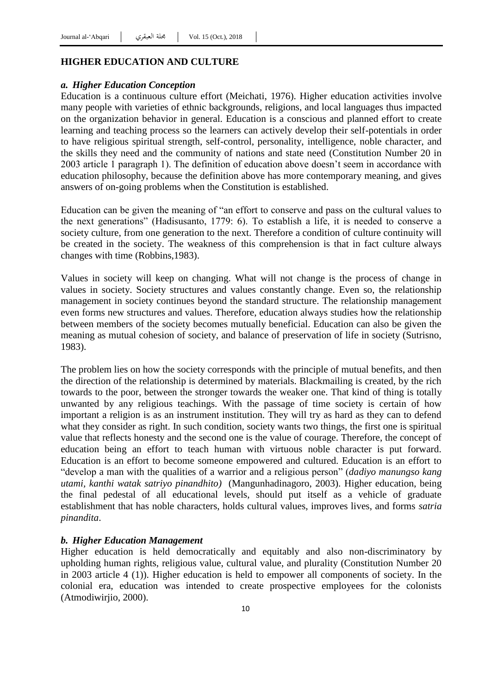#### **HIGHER EDUCATION AND CULTURE**

#### *a. Higher Education Conception*

Education is a continuous culture effort (Meichati, 1976). Higher education activities involve many people with varieties of ethnic backgrounds, religions, and local languages thus impacted on the organization behavior in general. Education is a conscious and planned effort to create learning and teaching process so the learners can actively develop their self-potentials in order to have religious spiritual strength, self-control, personality, intelligence, noble character, and the skills they need and the community of nations and state need (Constitution Number 20 in 2003 article 1 paragraph 1). The definition of education above doesn"t seem in accordance with education philosophy, because the definition above has more contemporary meaning, and gives answers of on-going problems when the Constitution is established.

Education can be given the meaning of "an effort to conserve and pass on the cultural values to the next generations" (Hadisusanto, 1779: 6). To establish a life, it is needed to conserve a society culture, from one generation to the next. Therefore a condition of culture continuity will be created in the society. The weakness of this comprehension is that in fact culture always changes with time (Robbins,1983).

Values in society will keep on changing. What will not change is the process of change in values in society. Society structures and values constantly change. Even so, the relationship management in society continues beyond the standard structure. The relationship management even forms new structures and values. Therefore, education always studies how the relationship between members of the society becomes mutually beneficial. Education can also be given the meaning as mutual cohesion of society, and balance of preservation of life in society (Sutrisno, 1983).

The problem lies on how the society corresponds with the principle of mutual benefits, and then the direction of the relationship is determined by materials. Blackmailing is created, by the rich towards to the poor, between the stronger towards the weaker one. That kind of thing is totally unwanted by any religious teachings. With the passage of time society is certain of how important a religion is as an instrument institution. They will try as hard as they can to defend what they consider as right. In such condition, society wants two things, the first one is spiritual value that reflects honesty and the second one is the value of courage. Therefore, the concept of education being an effort to teach human with virtuous noble character is put forward. Education is an effort to become someone empowered and cultured. Education is an effort to "develop a man with the qualities of a warrior and a religious person" (*dadiyo manungso kang utami, kanthi watak satriyo pinandhito)* (Mangunhadinagoro, 2003). Higher education, being the final pedestal of all educational levels, should put itself as a vehicle of graduate establishment that has noble characters, holds cultural values, improves lives, and forms *satria pinandita*.

#### *b. Higher Education Management*

Higher education is held democratically and equitably and also non-discriminatory by upholding human rights, religious value, cultural value, and plurality (Constitution Number 20 in 2003 article 4 (1)). Higher education is held to empower all components of society. In the colonial era, education was intended to create prospective employees for the colonists (Atmodiwirjio, 2000).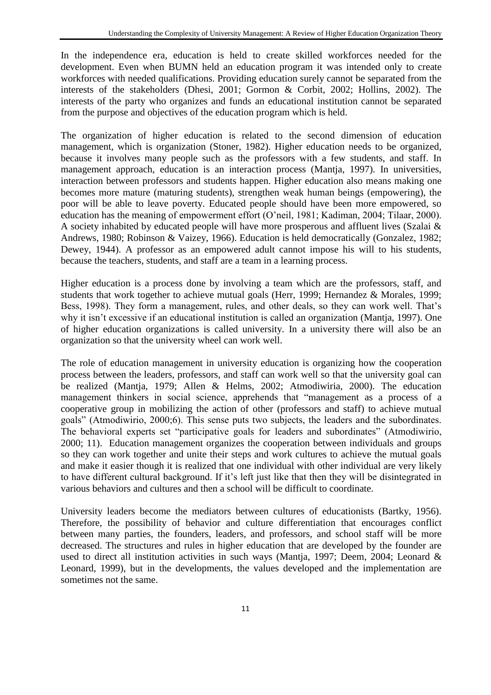In the independence era, education is held to create skilled workforces needed for the development. Even when BUMN held an education program it was intended only to create workforces with needed qualifications. Providing education surely cannot be separated from the interests of the stakeholders (Dhesi, 2001; Gormon & Corbit, 2002; Hollins, 2002). The interests of the party who organizes and funds an educational institution cannot be separated from the purpose and objectives of the education program which is held.

The organization of higher education is related to the second dimension of education management, which is organization (Stoner, 1982). Higher education needs to be organized, because it involves many people such as the professors with a few students, and staff. In management approach, education is an interaction process (Mantja, 1997). In universities, interaction between professors and students happen. Higher education also means making one becomes more mature (maturing students), strengthen weak human beings (empowering), the poor will be able to leave poverty. Educated people should have been more empowered, so education has the meaning of empowerment effort (O"neil, 1981; Kadiman, 2004; Tilaar, 2000). A society inhabited by educated people will have more prosperous and affluent lives (Szalai & Andrews, 1980; Robinson & Vaizey, 1966). Education is held democratically (Gonzalez, 1982; Dewey, 1944). A professor as an empowered adult cannot impose his will to his students, because the teachers, students, and staff are a team in a learning process.

Higher education is a process done by involving a team which are the professors, staff, and students that work together to achieve mutual goals (Herr, 1999; Hernandez & Morales, 1999; Bess, 1998). They form a management, rules, and other deals, so they can work well. That's why it isn't excessive if an educational institution is called an organization (Mantja, 1997). One of higher education organizations is called university. In a university there will also be an organization so that the university wheel can work well.

The role of education management in university education is organizing how the cooperation process between the leaders, professors, and staff can work well so that the university goal can be realized (Mantja, 1979; Allen & Helms, 2002; Atmodiwiria, 2000). The education management thinkers in social science, apprehends that "management as a process of a cooperative group in mobilizing the action of other (professors and staff) to achieve mutual goals" (Atmodiwirio, 2000;6). This sense puts two subjects, the leaders and the subordinates. The behavioral experts set "participative goals for leaders and subordinates" (Atmodiwirio, 2000; 11). Education management organizes the cooperation between individuals and groups so they can work together and unite their steps and work cultures to achieve the mutual goals and make it easier though it is realized that one individual with other individual are very likely to have different cultural background. If it"s left just like that then they will be disintegrated in various behaviors and cultures and then a school will be difficult to coordinate.

University leaders become the mediators between cultures of educationists (Bartky, 1956). Therefore, the possibility of behavior and culture differentiation that encourages conflict between many parties, the founders, leaders, and professors, and school staff will be more decreased. The structures and rules in higher education that are developed by the founder are used to direct all institution activities in such ways (Mantja, 1997; Deem, 2004; Leonard & Leonard, 1999), but in the developments, the values developed and the implementation are sometimes not the same.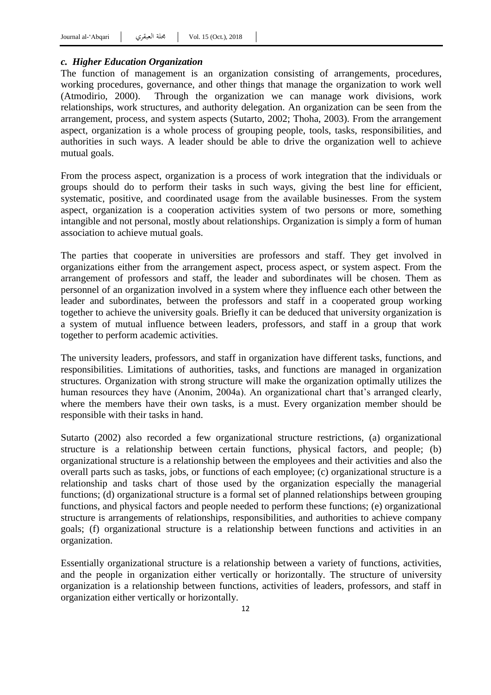## *c. Higher Education Organization*

The function of management is an organization consisting of arrangements, procedures, working procedures, governance, and other things that manage the organization to work well (Atmodirio, 2000). Through the organization we can manage work divisions, work relationships, work structures, and authority delegation. An organization can be seen from the arrangement, process, and system aspects (Sutarto, 2002; Thoha, 2003). From the arrangement aspect, organization is a whole process of grouping people, tools, tasks, responsibilities, and authorities in such ways. A leader should be able to drive the organization well to achieve mutual goals.

From the process aspect, organization is a process of work integration that the individuals or groups should do to perform their tasks in such ways, giving the best line for efficient, systematic, positive, and coordinated usage from the available businesses. From the system aspect, organization is a cooperation activities system of two persons or more, something intangible and not personal, mostly about relationships. Organization is simply a form of human association to achieve mutual goals.

The parties that cooperate in universities are professors and staff. They get involved in organizations either from the arrangement aspect, process aspect, or system aspect. From the arrangement of professors and staff, the leader and subordinates will be chosen. Them as personnel of an organization involved in a system where they influence each other between the leader and subordinates, between the professors and staff in a cooperated group working together to achieve the university goals. Briefly it can be deduced that university organization is a system of mutual influence between leaders, professors, and staff in a group that work together to perform academic activities.

The university leaders, professors, and staff in organization have different tasks, functions, and responsibilities. Limitations of authorities, tasks, and functions are managed in organization structures. Organization with strong structure will make the organization optimally utilizes the human resources they have (Anonim, 2004a). An organizational chart that's arranged clearly, where the members have their own tasks, is a must. Every organization member should be responsible with their tasks in hand.

Sutarto (2002) also recorded a few organizational structure restrictions, (a) organizational structure is a relationship between certain functions, physical factors, and people; (b) organizational structure is a relationship between the employees and their activities and also the overall parts such as tasks, jobs, or functions of each employee; (c) organizational structure is a relationship and tasks chart of those used by the organization especially the managerial functions; (d) organizational structure is a formal set of planned relationships between grouping functions, and physical factors and people needed to perform these functions; (e) organizational structure is arrangements of relationships, responsibilities, and authorities to achieve company goals; (f) organizational structure is a relationship between functions and activities in an organization.

Essentially organizational structure is a relationship between a variety of functions, activities, and the people in organization either vertically or horizontally. The structure of university organization is a relationship between functions, activities of leaders, professors, and staff in organization either vertically or horizontally.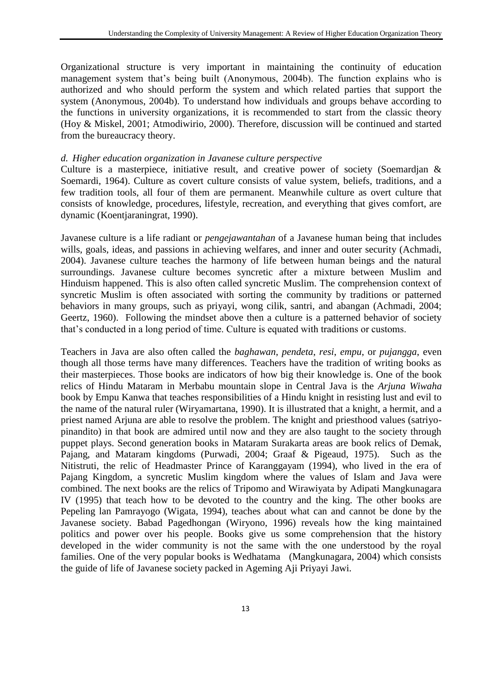Organizational structure is very important in maintaining the continuity of education management system that's being built (Anonymous, 2004b). The function explains who is authorized and who should perform the system and which related parties that support the system (Anonymous, 2004b). To understand how individuals and groups behave according to the functions in university organizations, it is recommended to start from the classic theory (Hoy & Miskel, 2001; Atmodiwirio, 2000). Therefore, discussion will be continued and started from the bureaucracy theory.

### *d. Higher education organization in Javanese culture perspective*

Culture is a masterpiece, initiative result, and creative power of society (Soemardjan & Soemardi, 1964). Culture as covert culture consists of value system, beliefs, traditions, and a few tradition tools, all four of them are permanent. Meanwhile culture as overt culture that consists of knowledge, procedures, lifestyle, recreation, and everything that gives comfort, are dynamic (Koentjaraningrat, 1990).

Javanese culture is a life radiant or *pengejawantahan* of a Javanese human being that includes wills, goals, ideas, and passions in achieving welfares, and inner and outer security (Achmadi, 2004). Javanese culture teaches the harmony of life between human beings and the natural surroundings. Javanese culture becomes syncretic after a mixture between Muslim and Hinduism happened. This is also often called syncretic Muslim. The comprehension context of syncretic Muslim is often associated with sorting the community by traditions or patterned behaviors in many groups, such as priyayi, wong cilik, santri, and abangan (Achmadi, 2004; Geertz, 1960). Following the mindset above then a culture is a patterned behavior of society that"s conducted in a long period of time. Culture is equated with traditions or customs.

Teachers in Java are also often called the *baghawan*, *pendeta*, *resi*, *empu*, or *pujangga*, even though all those terms have many differences. Teachers have the tradition of writing books as their masterpieces. Those books are indicators of how big their knowledge is. One of the book relics of Hindu Mataram in Merbabu mountain slope in Central Java is the *Arjuna Wiwaha* book by Empu Kanwa that teaches responsibilities of a Hindu knight in resisting lust and evil to the name of the natural ruler (Wiryamartana, 1990). It is illustrated that a knight, a hermit, and a priest named Arjuna are able to resolve the problem. The knight and priesthood values (satriyopinandito) in that book are admired until now and they are also taught to the society through puppet plays. Second generation books in Mataram Surakarta areas are book relics of Demak, Pajang, and Mataram kingdoms (Purwadi, 2004; Graaf & Pigeaud, 1975). Such as the Nitistruti, the relic of Headmaster Prince of Karanggayam (1994), who lived in the era of Pajang Kingdom, a syncretic Muslim kingdom where the values of Islam and Java were combined. The next books are the relics of Tripomo and Wirawiyata by Adipati Mangkunagara IV (1995) that teach how to be devoted to the country and the king. The other books are Pepeling lan Pamrayogo (Wigata, 1994), teaches about what can and cannot be done by the Javanese society. Babad Pagedhongan (Wiryono, 1996) reveals how the king maintained politics and power over his people. Books give us some comprehension that the history developed in the wider community is not the same with the one understood by the royal families. One of the very popular books is Wedhatama (Mangkunagara, 2004) which consists the guide of life of Javanese society packed in Ageming Aji Priyayi Jawi.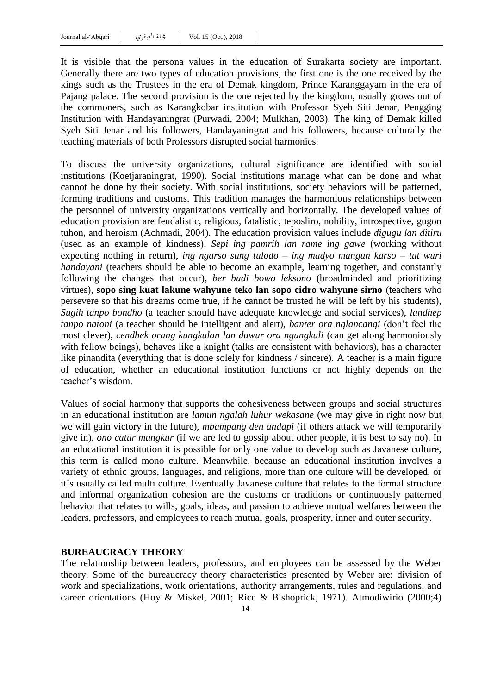It is visible that the persona values in the education of Surakarta society are important. Generally there are two types of education provisions, the first one is the one received by the kings such as the Trustees in the era of Demak kingdom, Prince Karanggayam in the era of Pajang palace. The second provision is the one rejected by the kingdom, usually grows out of the commoners, such as Karangkobar institution with Professor Syeh Siti Jenar, Pengging Institution with Handayaningrat (Purwadi, 2004; Mulkhan, 2003). The king of Demak killed Syeh Siti Jenar and his followers, Handayaningrat and his followers, because culturally the teaching materials of both Professors disrupted social harmonies.

To discuss the university organizations, cultural significance are identified with social institutions (Koetjaraningrat, 1990). Social institutions manage what can be done and what cannot be done by their society. With social institutions, society behaviors will be patterned, forming traditions and customs. This tradition manages the harmonious relationships between the personnel of university organizations vertically and horizontally. The developed values of education provision are feudalistic, religious, fatalistic, teposliro, nobility, introspective, gugon tuhon, and heroism (Achmadi, 2004). The education provision values include *digugu lan ditiru* (used as an example of kindness), *Sepi ing pamrih lan rame ing gawe* (working without expecting nothing in return), *ing ngarso sung tulodo* – *ing madyo mangun karso* – *tut wuri handayani* (teachers should be able to become an example, learning together, and constantly following the changes that occur), *ber budi bowo leksono* (broadminded and prioritizing virtues), **sopo sing kuat lakune wahyune teko lan sopo cidro wahyune sirno** (teachers who persevere so that his dreams come true, if he cannot be trusted he will be left by his students), *Sugih tanpo bondho* (a teacher should have adequate knowledge and social services), *landhep tanpo natoni* (a teacher should be intelligent and alert), *banter ora nglancangi* (don"t feel the most clever), *cendhek orang kungkulan lan duwur ora ngungkuli* (can get along harmoniously with fellow beings), behaves like a knight (talks are consistent with behaviors), has a character like pinandita (everything that is done solely for kindness / sincere). A teacher is a main figure of education, whether an educational institution functions or not highly depends on the teacher's wisdom.

Values of social harmony that supports the cohesiveness between groups and social structures in an educational institution are *lamun ngalah luhur wekasane* (we may give in right now but we will gain victory in the future), *mbampang den andapi* (if others attack we will temporarily give in), *ono catur mungkur* (if we are led to gossip about other people, it is best to say no). In an educational institution it is possible for only one value to develop such as Javanese culture, this term is called mono culture. Meanwhile, because an educational institution involves a variety of ethnic groups, languages, and religions, more than one culture will be developed, or it's usually called multi culture. Eventually Javanese culture that relates to the formal structure and informal organization cohesion are the customs or traditions or continuously patterned behavior that relates to wills, goals, ideas, and passion to achieve mutual welfares between the leaders, professors, and employees to reach mutual goals, prosperity, inner and outer security.

#### **BUREAUCRACY THEORY**

The relationship between leaders, professors, and employees can be assessed by the Weber theory. Some of the bureaucracy theory characteristics presented by Weber are: division of work and specializations, work orientations, authority arrangements, rules and regulations, and career orientations (Hoy & Miskel, 2001; Rice & Bishoprick, 1971). Atmodiwirio (2000;4)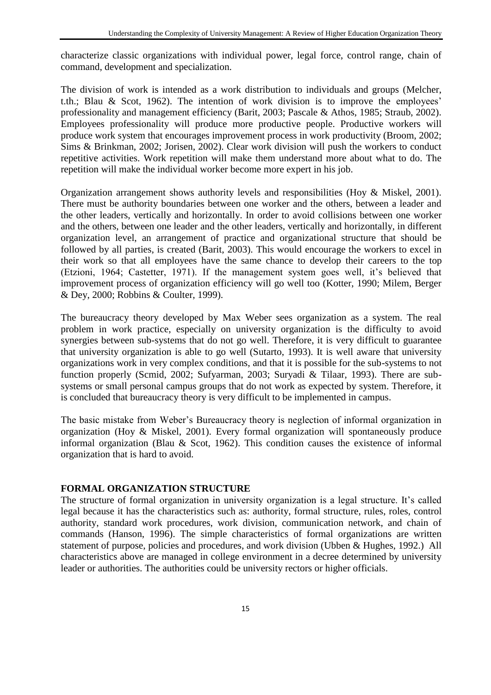characterize classic organizations with individual power, legal force, control range, chain of command, development and specialization.

The division of work is intended as a work distribution to individuals and groups (Melcher, t.th.; Blau & Scot, 1962). The intention of work division is to improve the employees' professionality and management efficiency (Barit, 2003; Pascale & Athos, 1985; Straub, 2002). Employees professionality will produce more productive people. Productive workers will produce work system that encourages improvement process in work productivity (Broom, 2002; Sims & Brinkman, 2002; Jorisen, 2002). Clear work division will push the workers to conduct repetitive activities. Work repetition will make them understand more about what to do. The repetition will make the individual worker become more expert in his job.

Organization arrangement shows authority levels and responsibilities (Hoy & Miskel, 2001). There must be authority boundaries between one worker and the others, between a leader and the other leaders, vertically and horizontally. In order to avoid collisions between one worker and the others, between one leader and the other leaders, vertically and horizontally, in different organization level, an arrangement of practice and organizational structure that should be followed by all parties, is created (Barit, 2003). This would encourage the workers to excel in their work so that all employees have the same chance to develop their careers to the top (Etzioni, 1964; Castetter, 1971). If the management system goes well, it"s believed that improvement process of organization efficiency will go well too (Kotter, 1990; Milem, Berger & Dey, 2000; Robbins & Coulter, 1999).

The bureaucracy theory developed by Max Weber sees organization as a system. The real problem in work practice, especially on university organization is the difficulty to avoid synergies between sub-systems that do not go well. Therefore, it is very difficult to guarantee that university organization is able to go well (Sutarto, 1993). It is well aware that university organizations work in very complex conditions, and that it is possible for the sub-systems to not function properly (Scmid, 2002; Sufyarman, 2003; Suryadi & Tilaar, 1993). There are subsystems or small personal campus groups that do not work as expected by system. Therefore, it is concluded that bureaucracy theory is very difficult to be implemented in campus.

The basic mistake from Weber"s Bureaucracy theory is neglection of informal organization in organization (Hoy & Miskel, 2001). Every formal organization will spontaneously produce informal organization (Blau & Scot, 1962). This condition causes the existence of informal organization that is hard to avoid.

# **FORMAL ORGANIZATION STRUCTURE**

The structure of formal organization in university organization is a legal structure. It's called legal because it has the characteristics such as: authority, formal structure, rules, roles, control authority, standard work procedures, work division, communication network, and chain of commands (Hanson, 1996). The simple characteristics of formal organizations are written statement of purpose, policies and procedures, and work division (Ubben & Hughes, 1992.) All characteristics above are managed in college environment in a decree determined by university leader or authorities. The authorities could be university rectors or higher officials.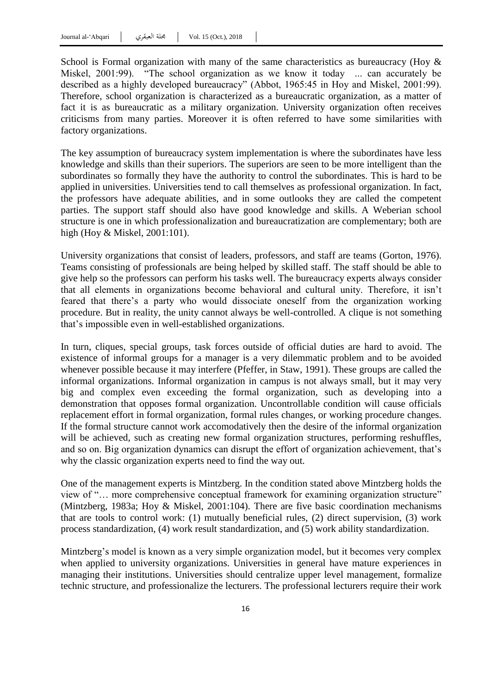School is Formal organization with many of the same characteristics as bureaucracy (Hoy  $\&$ Miskel, 2001:99). "The school organization as we know it today ... can accurately be described as a highly developed bureaucracy" (Abbot, 1965:45 in Hoy and Miskel, 2001:99). Therefore, school organization is characterized as a bureaucratic organization, as a matter of fact it is as bureaucratic as a military organization. University organization often receives criticisms from many parties. Moreover it is often referred to have some similarities with factory organizations.

The key assumption of bureaucracy system implementation is where the subordinates have less knowledge and skills than their superiors. The superiors are seen to be more intelligent than the subordinates so formally they have the authority to control the subordinates. This is hard to be applied in universities. Universities tend to call themselves as professional organization. In fact, the professors have adequate abilities, and in some outlooks they are called the competent parties. The support staff should also have good knowledge and skills. A Weberian school structure is one in which professionalization and bureaucratization are complementary; both are high (Hoy & Miskel, 2001:101).

University organizations that consist of leaders, professors, and staff are teams (Gorton, 1976). Teams consisting of professionals are being helped by skilled staff. The staff should be able to give help so the professors can perform his tasks well. The bureaucracy experts always consider that all elements in organizations become behavioral and cultural unity. Therefore, it isn"t feared that there"s a party who would dissociate oneself from the organization working procedure. But in reality, the unity cannot always be well-controlled. A clique is not something that"s impossible even in well-established organizations.

In turn, cliques, special groups, task forces outside of official duties are hard to avoid. The existence of informal groups for a manager is a very dilemmatic problem and to be avoided whenever possible because it may interfere (Pfeffer, in Staw, 1991). These groups are called the informal organizations. Informal organization in campus is not always small, but it may very big and complex even exceeding the formal organization, such as developing into a demonstration that opposes formal organization. Uncontrollable condition will cause officials replacement effort in formal organization, formal rules changes, or working procedure changes. If the formal structure cannot work accomodatively then the desire of the informal organization will be achieved, such as creating new formal organization structures, performing reshuffles, and so on. Big organization dynamics can disrupt the effort of organization achievement, that"s why the classic organization experts need to find the way out.

One of the management experts is Mintzberg. In the condition stated above Mintzberg holds the view of "… more comprehensive conceptual framework for examining organization structure" (Mintzberg, 1983a; Hoy & Miskel, 2001:104). There are five basic coordination mechanisms that are tools to control work: (1) mutually beneficial rules, (2) direct supervision, (3) work process standardization, (4) work result standardization, and (5) work ability standardization.

Mintzberg's model is known as a very simple organization model, but it becomes very complex when applied to university organizations. Universities in general have mature experiences in managing their institutions. Universities should centralize upper level management, formalize technic structure, and professionalize the lecturers. The professional lecturers require their work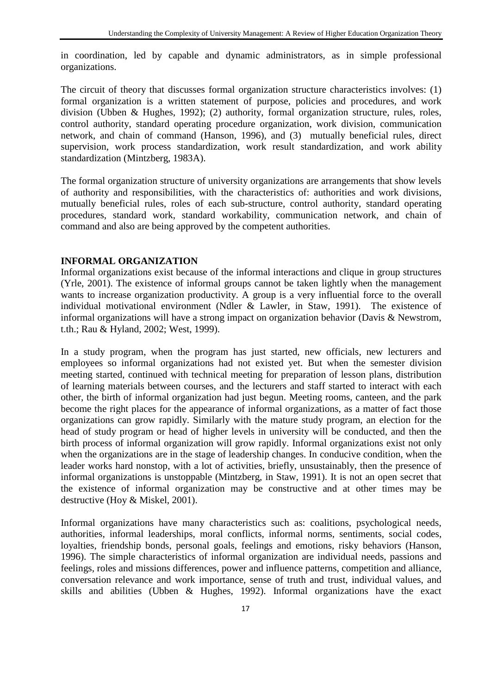in coordination, led by capable and dynamic administrators, as in simple professional organizations.

The circuit of theory that discusses formal organization structure characteristics involves: (1) formal organization is a written statement of purpose, policies and procedures, and work division (Ubben & Hughes, 1992); (2) authority, formal organization structure, rules, roles, control authority, standard operating procedure organization, work division, communication network, and chain of command (Hanson, 1996), and (3) mutually beneficial rules, direct supervision, work process standardization, work result standardization, and work ability standardization (Mintzberg, 1983A).

The formal organization structure of university organizations are arrangements that show levels of authority and responsibilities, with the characteristics of: authorities and work divisions, mutually beneficial rules, roles of each sub-structure, control authority, standard operating procedures, standard work, standard workability, communication network, and chain of command and also are being approved by the competent authorities.

# **INFORMAL ORGANIZATION**

Informal organizations exist because of the informal interactions and clique in group structures (Yrle, 2001). The existence of informal groups cannot be taken lightly when the management wants to increase organization productivity. A group is a very influential force to the overall individual motivational environment (Ndler & Lawler, in Staw, 1991). The existence of informal organizations will have a strong impact on organization behavior (Davis & Newstrom, t.th.; Rau & Hyland, 2002; West, 1999).

In a study program, when the program has just started, new officials, new lecturers and employees so informal organizations had not existed yet. But when the semester division meeting started, continued with technical meeting for preparation of lesson plans, distribution of learning materials between courses, and the lecturers and staff started to interact with each other, the birth of informal organization had just begun. Meeting rooms, canteen, and the park become the right places for the appearance of informal organizations, as a matter of fact those organizations can grow rapidly. Similarly with the mature study program, an election for the head of study program or head of higher levels in university will be conducted, and then the birth process of informal organization will grow rapidly. Informal organizations exist not only when the organizations are in the stage of leadership changes. In conducive condition, when the leader works hard nonstop, with a lot of activities, briefly, unsustainably, then the presence of informal organizations is unstoppable (Mintzberg, in Staw, 1991). It is not an open secret that the existence of informal organization may be constructive and at other times may be destructive (Hoy & Miskel, 2001).

Informal organizations have many characteristics such as: coalitions, psychological needs, authorities, informal leaderships, moral conflicts, informal norms, sentiments, social codes, loyalties, friendship bonds, personal goals, feelings and emotions, risky behaviors (Hanson, 1996). The simple characteristics of informal organization are individual needs, passions and feelings, roles and missions differences, power and influence patterns, competition and alliance, conversation relevance and work importance, sense of truth and trust, individual values, and skills and abilities (Ubben & Hughes, 1992). Informal organizations have the exact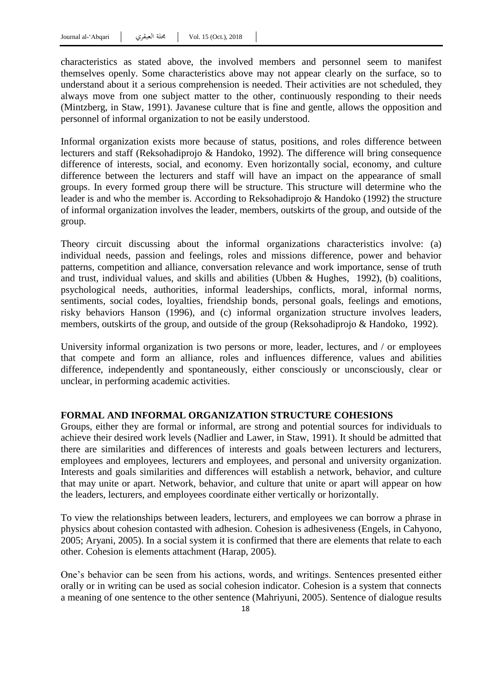characteristics as stated above, the involved members and personnel seem to manifest themselves openly. Some characteristics above may not appear clearly on the surface, so to understand about it a serious comprehension is needed. Their activities are not scheduled, they always move from one subject matter to the other, continuously responding to their needs (Mintzberg, in Staw, 1991). Javanese culture that is fine and gentle, allows the opposition and personnel of informal organization to not be easily understood.

Informal organization exists more because of status, positions, and roles difference between lecturers and staff (Reksohadiprojo & Handoko, 1992). The difference will bring consequence difference of interests, social, and economy. Even horizontally social, economy, and culture difference between the lecturers and staff will have an impact on the appearance of small groups. In every formed group there will be structure. This structure will determine who the leader is and who the member is. According to Reksohadiprojo & Handoko (1992) the structure of informal organization involves the leader, members, outskirts of the group, and outside of the group.

Theory circuit discussing about the informal organizations characteristics involve: (a) individual needs, passion and feelings, roles and missions difference, power and behavior patterns, competition and alliance, conversation relevance and work importance, sense of truth and trust, individual values, and skills and abilities (Ubben & Hughes, 1992), (b) coalitions, psychological needs, authorities, informal leaderships, conflicts, moral, informal norms, sentiments, social codes, loyalties, friendship bonds, personal goals, feelings and emotions, risky behaviors Hanson (1996), and (c) informal organization structure involves leaders, members, outskirts of the group, and outside of the group (Reksohadiprojo & Handoko, 1992).

University informal organization is two persons or more, leader, lectures, and / or employees that compete and form an alliance, roles and influences difference, values and abilities difference, independently and spontaneously, either consciously or unconsciously, clear or unclear, in performing academic activities.

# **FORMAL AND INFORMAL ORGANIZATION STRUCTURE COHESIONS**

Groups, either they are formal or informal, are strong and potential sources for individuals to achieve their desired work levels (Nadlier and Lawer, in Staw, 1991). It should be admitted that there are similarities and differences of interests and goals between lecturers and lecturers, employees and employees, lecturers and employees, and personal and university organization. Interests and goals similarities and differences will establish a network, behavior, and culture that may unite or apart. Network, behavior, and culture that unite or apart will appear on how the leaders, lecturers, and employees coordinate either vertically or horizontally.

To view the relationships between leaders, lecturers, and employees we can borrow a phrase in physics about cohesion contasted with adhesion. Cohesion is adhesiveness (Engels, in Cahyono, 2005; Aryani, 2005). In a social system it is confirmed that there are elements that relate to each other. Cohesion is elements attachment (Harap, 2005).

One"s behavior can be seen from his actions, words, and writings. Sentences presented either orally or in writing can be used as social cohesion indicator. Cohesion is a system that connects a meaning of one sentence to the other sentence (Mahriyuni, 2005). Sentence of dialogue results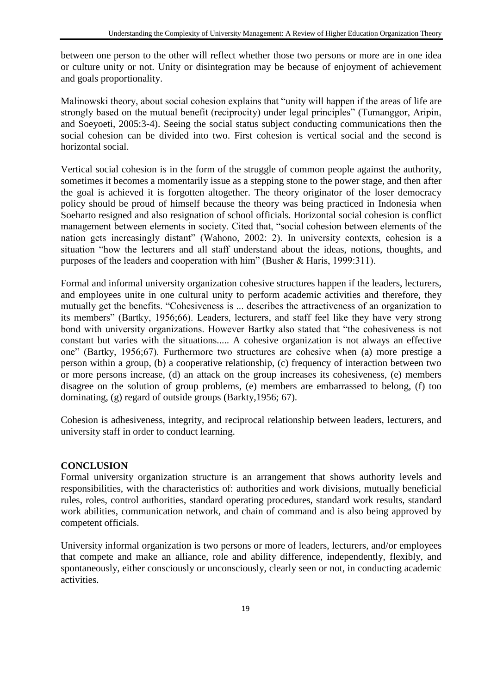between one person to the other will reflect whether those two persons or more are in one idea or culture unity or not. Unity or disintegration may be because of enjoyment of achievement and goals proportionality.

Malinowski theory, about social cohesion explains that "unity will happen if the areas of life are strongly based on the mutual benefit (reciprocity) under legal principles" (Tumanggor, Aripin, and Soeyoeti, 2005:3-4). Seeing the social status subject conducting communications then the social cohesion can be divided into two. First cohesion is vertical social and the second is horizontal social.

Vertical social cohesion is in the form of the struggle of common people against the authority, sometimes it becomes a momentarily issue as a stepping stone to the power stage, and then after the goal is achieved it is forgotten altogether. The theory originator of the loser democracy policy should be proud of himself because the theory was being practiced in Indonesia when Soeharto resigned and also resignation of school officials. Horizontal social cohesion is conflict management between elements in society. Cited that, "social cohesion between elements of the nation gets increasingly distant" (Wahono, 2002: 2). In university contexts, cohesion is a situation "how the lecturers and all staff understand about the ideas, notions, thoughts, and purposes of the leaders and cooperation with him" (Busher  $\&$  Haris, 1999:311).

Formal and informal university organization cohesive structures happen if the leaders, lecturers, and employees unite in one cultural unity to perform academic activities and therefore, they mutually get the benefits. "Cohesiveness is ... describes the attractiveness of an organization to its members" (Bartky, 1956;66). Leaders, lecturers, and staff feel like they have very strong bond with university organizations. However Bartky also stated that "the cohesiveness is not constant but varies with the situations..... A cohesive organization is not always an effective one" (Bartky, 1956;67). Furthermore two structures are cohesive when (a) more prestige a person within a group, (b) a cooperative relationship, (c) frequency of interaction between two or more persons increase, (d) an attack on the group increases its cohesiveness, (e) members disagree on the solution of group problems, (e) members are embarrassed to belong, (f) too dominating, (g) regard of outside groups (Barkty,1956; 67).

Cohesion is adhesiveness, integrity, and reciprocal relationship between leaders, lecturers, and university staff in order to conduct learning.

# **CONCLUSION**

Formal university organization structure is an arrangement that shows authority levels and responsibilities, with the characteristics of: authorities and work divisions, mutually beneficial rules, roles, control authorities, standard operating procedures, standard work results, standard work abilities, communication network, and chain of command and is also being approved by competent officials.

University informal organization is two persons or more of leaders, lecturers, and/or employees that compete and make an alliance, role and ability difference, independently, flexibly, and spontaneously, either consciously or unconsciously, clearly seen or not, in conducting academic activities.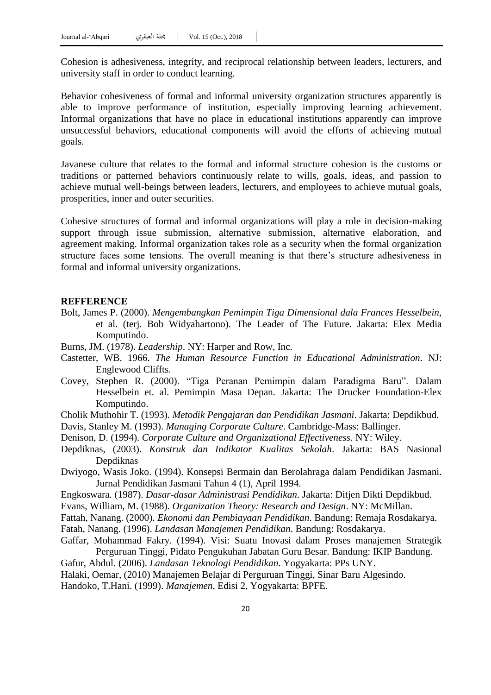Cohesion is adhesiveness, integrity, and reciprocal relationship between leaders, lecturers, and university staff in order to conduct learning.

Behavior cohesiveness of formal and informal university organization structures apparently is able to improve performance of institution, especially improving learning achievement. Informal organizations that have no place in educational institutions apparently can improve unsuccessful behaviors, educational components will avoid the efforts of achieving mutual goals.

Javanese culture that relates to the formal and informal structure cohesion is the customs or traditions or patterned behaviors continuously relate to wills, goals, ideas, and passion to achieve mutual well-beings between leaders, lecturers, and employees to achieve mutual goals, prosperities, inner and outer securities.

Cohesive structures of formal and informal organizations will play a role in decision-making support through issue submission, alternative submission, alternative elaboration, and agreement making. Informal organization takes role as a security when the formal organization structure faces some tensions. The overall meaning is that there"s structure adhesiveness in formal and informal university organizations.

#### **REFFERENCE**

- Bolt, James P. (2000). *Mengembangkan Pemimpin Tiga Dimensional dala Frances Hesselbein*, et al. (terj. Bob Widyahartono). The Leader of The Future. Jakarta: Elex Media Komputindo.
- Burns, JM. (1978). *Leadership*. NY: Harper and Row, Inc.
- Castetter, WB. 1966. *The Human Resource Function in Educational Administration*. NJ: Englewood Cliffts.
- Covey, Stephen R. (2000). "Tiga Peranan Pemimpin dalam Paradigma Baru". Dalam Hesselbein et. al. Pemimpin Masa Depan. Jakarta: The Drucker Foundation-Elex Komputindo.
- Cholik Muthohir T. (1993). *Metodik Pengajaran dan Pendidikan Jasmani*. Jakarta: Depdikbud.
- Davis, Stanley M. (1993). *Managing Corporate Culture*. Cambridge-Mass: Ballinger.
- Denison, D. (1994). *Corporate Culture and Organizational Effectiveness*. NY: Wiley.
- Depdiknas, (2003). *Konstruk dan Indikator Kualitas Sekolah*. Jakarta: BAS Nasional Depdiknas
- Dwiyogo, Wasis Joko. (1994). Konsepsi Bermain dan Berolahraga dalam Pendidikan Jasmani. Jurnal Pendidikan Jasmani Tahun 4 (1), April 1994.
- Engkoswara. (1987). *Dasar-dasar Administrasi Pendidikan*. Jakarta: Ditjen Dikti Depdikbud.
- Evans, William, M. (1988). *Organization Theory: Research and Design*. NY: McMillan.
- Fattah, Nanang. (2000). *Ekonomi dan Pembiayaan Pendidikan*. Bandung: Remaja Rosdakarya.
- Fatah, Nanang. (1996). *Landasan Manajemen Pendidikan*. Bandung: Rosdakarya.
- Gaffar, Mohammad Fakry. (1994). Visi: Suatu Inovasi dalam Proses manajemen Strategik Perguruan Tinggi, Pidato Pengukuhan Jabatan Guru Besar. Bandung: IKIP Bandung.
- Gafur, Abdul. (2006). *Landasan Teknologi Pendidikan*. Yogyakarta: PPs UNY.
- Halaki, Oemar, (2010) Manajemen Belajar di Perguruan Tinggi, Sinar Baru Algesindo.
- Handoko, T.Hani. (1999). *Manajemen*, Edisi 2, Yogyakarta: BPFE.